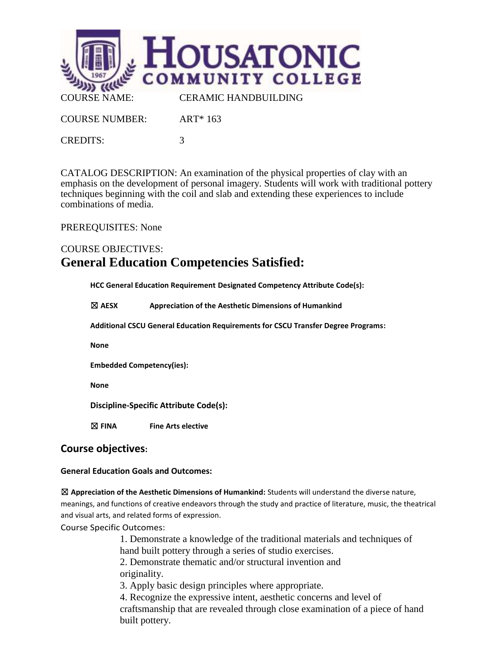

CREDITS: 3

CATALOG DESCRIPTION: An examination of the physical properties of clay with an emphasis on the development of personal imagery. Students will work with traditional pottery techniques beginning with the coil and slab and extending these experiences to include combinations of media.

PREREQUISITES: None

## COURSE OBJECTIVES: **General Education Competencies Satisfied:**

**HCC General Education Requirement Designated Competency Attribute Code(s):** 

☒ **AESX Appreciation of the Aesthetic Dimensions of Humankind**

**Additional CSCU General Education Requirements for CSCU Transfer Degree Programs:** 

**None**

**Embedded Competency(ies):**

**None**

**Discipline-Specific Attribute Code(s):**

☒ **FINA Fine Arts elective**

## **Course objectives:**

## **General Education Goals and Outcomes:**

☒ **Appreciation of the Aesthetic Dimensions of Humankind:** Students will understand the diverse nature, meanings, and functions of creative endeavors through the study and practice of literature, music, the theatrical and visual arts, and related forms of expression.

Course Specific Outcomes:

1. Demonstrate a knowledge of the traditional materials and techniques of hand built pottery through a series of studio exercises.

2. Demonstrate thematic and/or structural invention and originality.

3. Apply basic design principles where appropriate.

4. Recognize the expressive intent, aesthetic concerns and level of craftsmanship that are revealed through close examination of a piece of hand built pottery.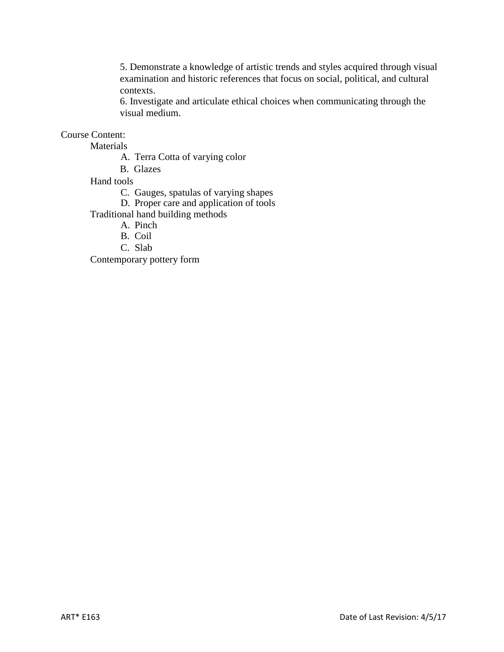5. Demonstrate a knowledge of artistic trends and styles acquired through visual examination and historic references that focus on social, political, and cultural contexts.

6. Investigate and articulate ethical choices when communicating through the visual medium.

## Course Content:

Materials

A. Terra Cotta of varying color

B. Glazes

Hand tools

C. Gauges, spatulas of varying shapes

D. Proper care and application of tools

Traditional hand building methods

A. Pinch

B. Coil

C. Slab

Contemporary pottery form